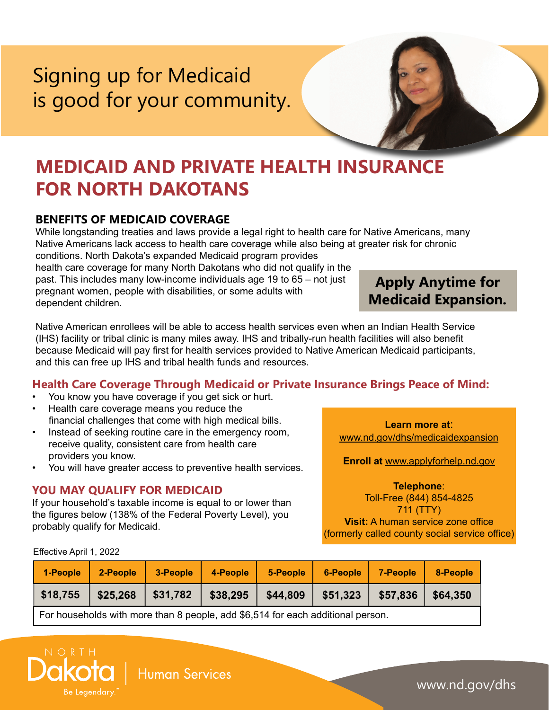# Signing up for Medicaid is good for your community.

## **MEDICAID AND PRIVATE HEALTH INSURANCE FOR NORTH DAKOTANS**

## **BENEFITS OF MEDICAID COVERAGE**

While longstanding treaties and laws provide a legal right to health care for Native Americans, many Native Americans lack access to health care coverage while also being at greater risk for chronic conditions. North Dakota's expanded Medicaid program provides

health care coverage for many North Dakotans who did not qualify in the past. This includes many low-income individuals age 19 to 65 – not just pregnant women, people with disabilities, or some adults with dependent children.

Native American enrollees will be able to access health services even when an Indian Health Service (IHS) facility or tribal clinic is many miles away. IHS and tribally-run health facilities will also benefit because Medicaid will pay first for health services provided to Native American Medicaid participants, and this can free up IHS and tribal health funds and resources.

## **Health Care Coverage Through Medicaid or Private Insurance Brings Peace of Mind:**

- You know you have coverage if you get sick or hurt.
- Health care coverage means you reduce the financial challenges that come with high medical bills.
- Instead of seeking routine care in the emergency room, receive quality, consistent care from health care providers you know.
- You will have greater access to preventive health services.

#### **YOU MAY QUALIFY FOR MEDICAID**

If your household's taxable income is equal to or lower than the figures below (138% of the Federal Poverty Level), you probably qualify for Medicaid.

**Learn more at**: [www.nd.gov/dhs/medicaidexpansion](http://www.nd.gov/dhs/medicaidexpansion)

**Enroll at** [www.applyforhelp.nd.gov](http://www.applyforhelp.nd.gov)

**Telephone**: Toll-Free (844) 854-4825 711 (TTY)

**Visit:** A human service zone office (formerly called county social service office)

Effective April 1, 2022

 $N$  O R T H

Be Legendary

| 1-People                                                                        | 2-People | 3-People | 4-People | 5-People | 6-People | 7-People | 8-People |
|---------------------------------------------------------------------------------|----------|----------|----------|----------|----------|----------|----------|
| \$18,755                                                                        | \$25,268 | \$31,782 | \$38,295 | \$44,809 | \$51,323 | \$57,836 | \$64.350 |
| For households with more than 8 people, add \$6,514 for each additional person. |          |          |          |          |          |          |          |



www.nd.gov/dhs

**Apply Anytime for Medicaid Expansion.**